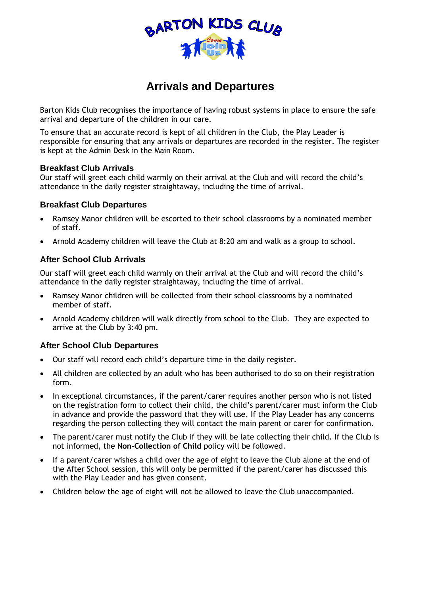

# **Arrivals and Departures**

Barton Kids Club recognises the importance of having robust systems in place to ensure the safe arrival and departure of the children in our care.

To ensure that an accurate record is kept of all children in the Club, the Play Leader is responsible for ensuring that any arrivals or departures are recorded in the register. The register is kept at the Admin Desk in the Main Room.

## **Breakfast Club Arrivals**

Our staff will greet each child warmly on their arrival at the Club and will record the child's attendance in the daily register straightaway, including the time of arrival.

#### **Breakfast Club Departures**

- Ramsey Manor children will be escorted to their school classrooms by a nominated member of staff.
- Arnold Academy children will leave the Club at 8:20 am and walk as a group to school.

## **After School Club Arrivals**

Our staff will greet each child warmly on their arrival at the Club and will record the child's attendance in the daily register straightaway, including the time of arrival.

- Ramsey Manor children will be collected from their school classrooms by a nominated member of staff.
- Arnold Academy children will walk directly from school to the Club. They are expected to arrive at the Club by 3:40 pm.

## **After School Club Departures**

- Our staff will record each child's departure time in the daily register.
- All children are collected by an adult who has been authorised to do so on their registration form.
- In exceptional circumstances, if the parent/carer requires another person who is not listed on the registration form to collect their child, the child's parent/carer must inform the Club in advance and provide the password that they will use. If the Play Leader has any concerns regarding the person collecting they will contact the main parent or carer for confirmation.
- The parent/carer must notify the Club if they will be late collecting their child. If the Club is not informed, the **Non-Collection of Child** policy will be followed.
- If a parent/carer wishes a child over the age of eight to leave the Club alone at the end of the After School session, this will only be permitted if the parent/carer has discussed this with the Play Leader and has given consent.
- Children below the age of eight will not be allowed to leave the Club unaccompanied.